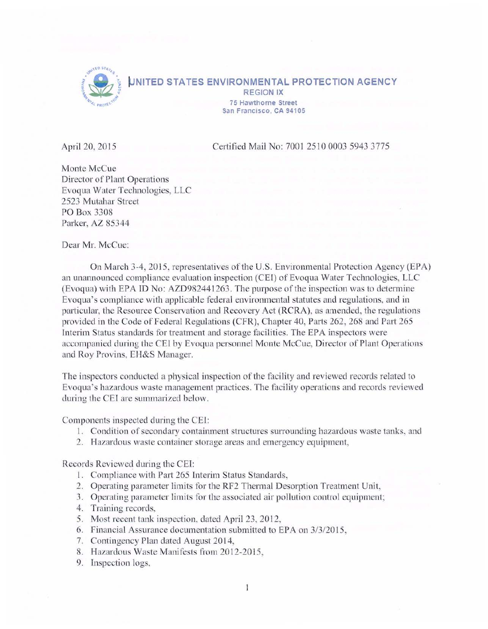

**NITED STATES ENVIRONMENTAL PROTECTION AGENCY REGION IX** 75 **Hawthorne Street San Francisco. CA 94105** 

April 20, 2015 Certified Mail No: 700125100003 5943 3775

Monte McCue Director of Plant Operations Evoqua Water Technologies, LLC 2523 Mutahar Street PO Box 3308 Parker, AZ 85344

Dear Mr. McCue:

On March 3-4, 2015, representatives of the U.S. Environmental Protection Agency (EPA) an unannounced compliance evaluation inspection (CEI) of Evoqua Water Technologies, LLC (Evoqua) with EPA ID No: AZD982441263 . The purpose of the inspection was to determine Evoqua's compliance with applicable federal environmental statutes and regulations, and in particular, the Resource Conservation and Recovery Act (RCRA), as amended, the regulations provided in the Code of Federal Regulations (CFR), Chapter 40, Parts 262, 268 and Part 265 Interim Status standards for treatment and storage facilities. The EPA inspectors were accompanied during the CEI by Evoqua personnel Monte McCue, Director of Plant Operations and Roy Provins, EH&S Manager.

The inspectors conducted a physical inspection of the facility and reviewed records related to Evoqua's hazardous waste management practices. The facility operations and records reviewed during the CEI are summarized below.

Components inspected during the CEI:

- 1. Condition of secondary containment structures surrounding hazardous waste tanks, and
- 2. Hazardous waste container storage areas and emergency equipment,

Records Reviewed during the CEI:

- l. Compliance with Part 265 Interim Status Standards,
- 2. Operating parameter limits for the RF2 Thermal Desorption Treatment Unit,
- 3. Operating parameter limits for the associated air pollution control equipment;
- 4. Training records,
- 5. Most recent tank inspection, dated April 23, 2012,
- 6. Financial Assurance documentation submitted to EPA on  $3/3/2015$ ,
- 7. Contingency Plan dated August 2014,
- 8. Hazardous Waste Manifests from 2012-2015,
- 9. Inspection logs,